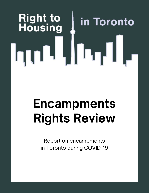# **Right to<br>Housing** in Toronto hm

## Encampments Rights Review

Report on encampments in Toronto during COVID-19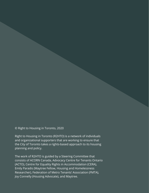© Right to Housing in Toronto, 2020

Right to Housing in Toronto (R2HTO) is a network of individuals and organizational supporters that are working to ensure that the City of Toronto takes a rights-based approach to its housing planning and policy.

The work of R2HTO is guided by a Steering Committee that consists of ACORN Canada, Advocacy Centre for Tenants Ontario (ACTO), Centre for Equality Rights in Accommodation (CERA), Emily Paradis (Maytree Fellow, Housing and Homelessness Researcher), Federation of Metro Tenants' Association (FMTA), Joy Connelly (Housing Advocate), and Maytree.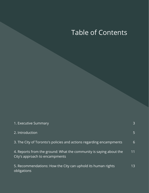## Table of Contents

| 1. Executive Summary                                                                                 | $\mathbf{3}$   |
|------------------------------------------------------------------------------------------------------|----------------|
| 2. Introduction                                                                                      | $\overline{5}$ |
| 3. The City of Toronto's policies and actions regarding encampments                                  | 6              |
| 4. Reports from the ground: What the community is saying about the<br>City's approach to encampments | 11             |
| 5. Recommendations: How the City can uphold its human rights<br>obligations                          | 13             |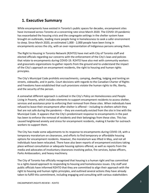## **1. Executive Summary**

While encampments have existed in Toronto's public spaces for decades, encampment sites have increased across Toronto at a concerning rate since March 2020. The COVID-19 pandemic has exacerbated the housing crisis and the congregate settings in the shelter system have brought on outbreaks, leading more people living in homelessness to seek a safer environment to sleep. Since March 2020, an estimated 1,000 - 2,000 people have been living in encampments across the city, with an over-representation of Indigenous persons among them.

The Right to Housing in Toronto Network (R2HTO) have met with City of Toronto staff and elected officials regarding our concerns with the enforcement of the City's laws and policies that relate to encampments during COVID-19. R2HTO have also met with community workers and grassroots organizations to gather reports from the ground and to understand the impact of the City's approach on encampment residents, the right to housing and human rights principles.

The City's Municipal Code prohibits encroachments, camping, dwelling, lodging and tenting on streets, sidewalks, and in parks. Court decisions with regards to the Canadian Charter of Rights and Freedoms have established that such provisions violate the human rights to life, liberty, and the security of the person.

A somewhat different approach is outlined in the City's Policy on Homelessness and People Living in Poverty, which includes elements to support encampment residents to access shelter, services and assistance prior to enforcing their removal from these sites. When individuals have refused to leave their encampment after shelter is offered – including to shelters which they feel are not safe during the pandemic – they are eventually evicted from the site in line with the Municipal Code. It appears that the City's predominant response to encampments in the past has been to enforce the removal of residents and their belongings from these sites. This has caused heightened anxiety and stress for encampment residents, making it harder for outreach workers to support them.

The City has made some adjustments to its response to encampments during COVID-19, with a temporary moratorium on clearances, and efforts to find temporary or affordable housing options for encampment residents. However, the moratorium was lifted in May, and not all individuals have been relocated. There have also been reports of encampment evictions taking place without consultation or adequate housing options offered, as well as reports from the media and advocates of involuntary clearances involving police, fire services, bylaw officers, Parks Ambassadors, and heavy machinery.

The City of Toronto has officially recognized that housing is a human right and has committed to a rights-based approach to responding to housing and homelessness issues. City staff and public officials have informed R2HTO that they are committed to align their approach with the right to housing and human rights principles, and outlined several actions they have already taken to fulfill this commitment, including engaging and consulting with various stakeholders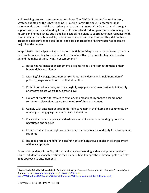and providing services to encampment residents. The COVID-19 Interim Shelter Recovery Strategy adopted by the City's Planning & Housing Committee on 23 September 2020 recommends a human-rights-based response to encampments. City Council has also sought support, cooperation and funding from the Provincial and Federal governments to manage the housing and homelessness crisis, and have established plans to coordinate their responses with community partners. Meanwhile, residents of some encampments report they did not have access to basic services and sanitation, and a lack of access to drinking water has become a major health concern.

In April 2020, the UN Special Rapporteur on the Right to Adequate Housing released a national protocol for responding to encampments in Canada with eight principles to guide cities to uphold the rights of those living in encampments: $1$ 

- 1. Recognize residents of encampments as rights holders and commit to uphold their human rights and dignity
- 2. Meaningfully engage encampment residents in the design and implementation of policies, programs and practices that affect them
- 3. Prohibit forced evictions, and meaningfully engage encampment residents to identify alternative places where they agree to live
- 4. Explore all viable alternatives to eviction, and meaningfully engage encampment residents in discussions regarding the future of the encampment
- 5. Comply with encampment residents' right to remain in their home and community by meaningfully engaging them in relocation decisions
- 6. Ensure that basic adequacy standards are met while adequate housing options are negotiated and secured
- 7. Ensure positive human rights outcomes and the preservation of dignity for encampment residents
- 8. Respect, protect, and fulfill the distinct rights of Indigenous peoples in all engagement with encampments

Drawing on evidence from City officials and advocates working with encampment residents, this report identifies tangible actions the City must take to apply these human rights principles in its approach to encampments.

<sup>1</sup> Leilani Farha & Kaitlin Schwan (2020). *National Protocol for Homeless Encampments in Canada: A Human Rights Approach* [http://www.unhousingrapp.org/user/pages/07.press](http://www.unhousingrapp.org/user/pages/07.press-room/A%20National%20Protocol%20for%20Homeless%20Encampments%20in%20Canada.pdf)[room/A%20National%20Protocol%20for%20Homeless%20Encampments%20in%20Canada.pdf](http://www.unhousingrapp.org/user/pages/07.press-room/A%20National%20Protocol%20for%20Homeless%20Encampments%20in%20Canada.pdf)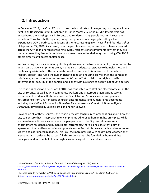## **2. Introduction**

In December 2019, the City of Toronto took the historic step of recognizing housing as a human right in its HousingTO 2020-30 Action Plan. Since March 2020, the COVID-19 epidemic has exacerbated the housing crisis in Toronto and rendered many people housing insecure and homeless. Toronto's shelter system, comprised primarily of congregate settings, has experienced COVID outbreaks in dozens of shelters, resulting in 647 cases<sup>2</sup> and four deaths<sup>3</sup> as of September 22, 2020. As a result, over the past few months, encampments have appeared across the City at an unprecedented rate. Many residents of encampments say that they are there because they feel safer in this environment than in the shelter system during COVID-19; others simply can't access shelter space.

In considering the City's human rights obligations in relation to encampments, it is important to understand that encampments are by no means an adequate response to homelessness and the housing crisis. In fact, the very existence of encampments is indicative of the failure to respect, protect, and fulfill the human right to adequate housing. However, in the context of this failure, encampments represent residents' best effort to claim their rights to selfdetermination, security of the person, and dignity within a range of deeply inadequate options.

This report is based on discussions R2HTO has conducted with staff and elected officials at the City of Toronto, as well as with community workers and grassroots organizations serving encampment residents. It also reviews the City of Toronto's policies on encampments, jurisprudence from Charter cases on urban encampments, and human rights documents including the *National Protocol for Homeless Encampments in Canada: A Human Rights Approach*, developed by Leilani Farha and Kaitlin Schwan.

Drawing on all of these sources, this report provides tangible recommendations about how the City can ensure that its approach to encampments adheres to human rights principles. While we heard many differences between the perspectives of the City, front-line workers, encampment residents, and human rights instruments, there is one consistent point of agreement: the proliferation of encampments across Toronto is unacceptable and requires an urgent and coordinated response. This is all the more pressing with cold winter weather only weeks away. In order to be successful, this response must be founded on human rights principles, and must uphold human rights in every aspect of its implementation.

<sup>&</sup>lt;sup>2</sup> City of Toronto, "COVID-19: Status of Cases in Toronto" (30 August 2020), online: <https://www.toronto.ca/home/covid- [19/covid-19-latest-city-of-toronto-news/covid-19-status-of-cases-in](https://www.toronto.ca/home/covid-%2019/covid-19-latest-city-of-toronto-news/covid-19-status-of-cases-in-toronto/)[toronto/>](https://www.toronto.ca/home/covid-%2019/covid-19-latest-city-of-toronto-news/covid-19-status-of-cases-in-toronto/).

<sup>&</sup>lt;sup>3</sup> Toronto Drop-In Network, "COVID-19 Guidance and Resources for Drop-Ins" (12 March 2020), online: [<https://tdin.ca/announcement.php?id=2127#covidstatus>](https://tdin.ca/announcement.php?id=2127%23covidstatus).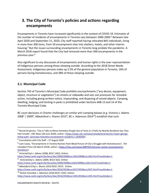## **3. The City of Toronto's policies and actions regarding encampments**

Encampments in Toronto have increased significantly in the context of COVID-19. Estimates of the number of residents of encampments in Toronto vary between 1000-2000.<sup>4</sup> Between late April 2020 and September 21, 2020, City staff reported having relocated 845 individuals, living in more than 300 tents, from 59 encampment sites into shelters, hotels, and other interim housing.<sup>5</sup> But the issues surrounding encampments in Toronto long predate the pandemic. A March 2018 report found that the City had removed more than 300 encampments in the previous year.<sup>6</sup>

Also significant to any discussion of encampments and human rights is the over-representation of Indigenous persons among those sleeping outside. According to the 2018 Street Needs Assessment, Indigenous persons make up 2.5% of the general population in Toronto, 16% of persons facing homelessness, and 38% of those sleeping outside.

## **3.1. Municipal Code**

Section 743 of Toronto's Municipal Code prohibits encroachments ("any device, equipment, object, structure or vegetation") on streets or sidewalks and sets out processes for remedial action, including giving written notice, impounding, and disposing of seized objects. Camping, dwelling, lodging, and tenting in parks is prohibited under Sections 608-13 and 14 of the Toronto Municipal Code.

BC court decisions in Charter challenges on similar anti-camping bylaws (e.g. Victoria v. Adams 2008<sup>7</sup> / 2009<sup>8</sup>, Abbotsford v. Shantz 2015<sup>9</sup>, BC v. Adamson 2016<sup>10</sup>) establish that such

<sup>&</sup>lt;sup>4</sup> Muriel Draaisma, "City in Talks to Move Homeless People Out of Tents in 2 Parks As Nearby Residents Say They Feel Unsafe", *CBC News* (28 June 2020), online: [<https://www.cbc.ca/news/canada/toronto/city-mayor-george](https://www.cbc.ca/news/canada/toronto/city-mayor-george-hislop-park-%20sanctuary-homeless-encampment-residents-1.5630356)hislop-park- [sanctuary-homeless-encampment-residents-1.5630356>](https://www.cbc.ca/news/canada/toronto/city-mayor-george-hislop-park-%20sanctuary-homeless-encampment-residents-1.5630356).

<sup>&</sup>lt;sup>5</sup> Consultation with City Staff – 27 August 2020

<sup>6</sup> Liam Casey, "Encampments in Toronto Ravines Paint Bleak Picture of City's Struggle with Homelessness", *The*  Canadian Press (16 March 2018), online: [<https://cfox.com/news/4087051/toronto-ravines-encampments](https://cfox.com/news/4087051/toronto-ravines-encampments-homeless/)[homeless/>](https://cfox.com/news/4087051/toronto-ravines-encampments-homeless/).

<sup>7</sup> *Victoria(City) v. Adams* (2008, BCSC 1363). Online:

<https://www.canlii.org/en/bc/bcsc/doc/2008/2008bcsc1363/2008bcsc1363.html?resultIndex=1> <sup>8</sup> *Victoria(City) v. Adams* (2009, BCCA 563). Online:

<https://www.canlii.org/en/bc/bcca/doc/2009/2009bcca563/2009bcca563.html?resultIndex=1>

<sup>9</sup> *Abbotsford (City) v. Shantz* (2016 BCSC 2437). Online:

<https://www.canlii.org/en/bc/bcsc/doc/2016/2016bcsc2437/2016bcsc2437.html?resultIndex=1> <sup>10</sup> *British Columbia v. Adamson* (2016 BCSC 1245). Online:

<https://www.canlii.org/en/bc/bcsc/doc/2016/2016bcsc1245/2016bcsc1245.html?resultIndex=1>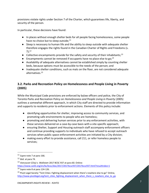provisions violate rights under Section 7 of the Charter, which guarantees life, liberty, and security of the person.

In particular, these decisions have found:

- In places without enough shelter beds for all people facing homelessness, some people have no choice but to sleep outside;<sup>11</sup>
- Sleep is necessary to human life and the ability to sleep outside with adequate shelter therefore engages the rights found in the Canadian Charter of Rights and Freedoms (s. 7);<sup>12</sup>
- Collective encampments provide for the safety and security of their inhabitants;<sup>13</sup>
- **•** Encampments cannot be removed if occupants have no place else to go;<sup>14</sup>
- Availability of adequate alternatives cannot be established simply by counting shelter beds, because options must be accessible to the needs of the person; and
- Inadequate shelter conditions, such as mats on the floor, are not considered adequate alternatives.<sup>15</sup>

## **3.2. Parks and Recreation Policy on Homelessness and People Living in Poverty (2005)**

While the Municipal Code provisions are enforced by bylaw officers and police, the City of Toronto Parks and Recreation Policy on *Homelessness and People Living in Poverty* (2005) outlines a somewhat different approach, in which City staff are directed to provide information and supports to residents prior to enforcement actions. Elements of this policy include:

- identifying opportunities for shelter, improving access to community services, and promoting safe environments to people who are homeless;
- promoting and delivering human services prior to any enforcement activities, with these services delivered on a case-by-case basis with a site-specific approach;
- ensuring Shelter, Support and Housing outreach staff accompany enforcement officers and continue providing supports to individuals who have refused to accept outreach services when public space enforcement activities are initiated by a City division;
- making every effort to provide assistance, call 211, or refer homeless people to services;

<sup>11</sup> *Supra* note 7 at para 166.

<sup>12</sup> *Ibid.* at para 74.

<sup>13</sup> *Vancouver (City) v. Wallstam* 2017 BCSC 937 at para 60. Online: <https://www.canlii.org/en/bc/bcsc/doc/2017/2017bcsc937/2017bcsc937.html?resultIndex=1>

<sup>14</sup> *Supra* note 8 at para 124-126.

<sup>&</sup>lt;sup>15</sup> Pivot Legal Society "Tent Cities: Fighting displacement when there's nowhere else to go" Online, [http://www.pivotlegal.org/tent\\_cities\\_fighting\\_displacement\\_when\\_there\\_s\\_nowhere\\_else\\_to\\_go](http://www.pivotlegal.org/tent_cities_fighting_displacement_when_there_s_nowhere_else_to_go)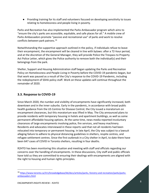● Providing training for its staff and volunteers focused on developing sensitivity to issues relating to homelessness and people living in poverty.

Parks and Recreation has also implemented the Parks Ambassador program which aims to "ensure the city's parks are accessible, equitable, and safe places for all." A mobile crew of Parks Ambassadors promote "passive and recreational use" of parks and work to resolve conflicts between park patrons.<sup>16</sup>

Notwithstanding the supportive approach outlined in the policy, if individuals refuse to leave their encampment, the encampment will be cleared in line with bylaws: after a 72-hour period, and at the discretion of the General Manager, they will provide Police the Trespass to Property Act Police Letter, which gives the Police authority to remove both the individual(s) and their belongings from the park.

Shelter, Support and Housing Administration staff began updating the Parks and Recreation Policy on Homelessness and People Living in Poverty before the COVID-19 pandemic began, but that work was paused as a result of the City's response to the COVID-19 Pandemic, including the redeployment of SSHA policy staff. Work on these updates will continue throughout the remainder of 2020.

## **3.3. Response to COVID-19**

Since March 2020, the number and visibility of encampments have significantly increased, both downtown and in the inner suburbs. Early in the pandemic, in accordance with broad public health guidance from the US Centres for Disease Control, the City issued a moratorium on encampment clearances, but this moratorium was lifted in May. The City announced plans to provide residents with temporary housing in hotels and apartment buildings, as well as some permanent affordable housing options. At the same time, news media reported involuntary clearances of large encampments involving police, fire services, and heavy machinery. Residents and advocates interviewed in these reports said that not all residents had been relocated into temporary or permanent housing. In late April, the City was subject to a lawsuit alleging failure to adhere to physical distancing guidelines in shelters, respite centres, and refugee settlement centres. Since the first outbreak in a City shelter in April, to date there have been 647 cases of COVID in Toronto shelters, resulting in four deaths.

R2HTO has been monitoring this situation and meeting with staff and officials regarding our concerns over the handling of encampments. In these discussions, City staff and public officials have told us they are committed to ensuring their dealings with encampments are aligned with the right to housing and human rights principles.

<sup>16</sup> [https://www.toronto.ca/311/knowledgebase/kb/docs/articles/parks,-forestry-and-recreation/parks/parks](https://www.toronto.ca/311/knowledgebase/kb/docs/articles/parks,-forestry-and-recreation/parks/parks-ambassadors.html)[ambassadors.html](https://www.toronto.ca/311/knowledgebase/kb/docs/articles/parks,-forestry-and-recreation/parks/parks-ambassadors.html)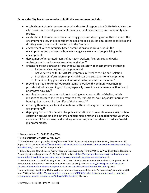### **Actions the City has taken in order to fulfill this commitment include:**

- establishment of an intergovernmental and sectoral response to COVID-19 involving the city, provincial/federal government, provincial healthcare sector, and community nonprofits.
- establishment of an interdivisional working group and steering committee to assess the encampment sites, and to consider the need for social distancing, access to facilities and drinking water, the size of the sites, and the fire risks. $17$
- engagement with community-based organizations to address issues in the encampments and understand how to strategically work with people living in the encampments
- deployment of integrated teams of outreach workers, fire services, and Parks Ambassadors to perform wellness checks at sites.<sup>18</sup>
- enhancing street outreach efforts by focusing on safety of encampments including:
	- o Increased cleaning and garbage removal
	- $\circ$  Active screening for COVID-19 symptoms, referral to testing and isolation
	- $\circ$  Provision of information on physical distancing strategies for encampments
	- $\circ$  Provision of hygiene kits and information to prevent transmission<sup>19</sup>
- providing Streets to Homes outreach teams to work with community partners to provide individuals residing outdoors, especially those in encampments, with offers of alternative housing. 20
- not clearing an encampment without making everyone an offer of shelter, which includes congregate shelter and respites sites, transitional housing, and/or permanent housing, but may not be "an offer of their choice."<sup>21</sup>
- ensuring there is space for individuals inside the shelter system before clearing an encampment.<sup>22</sup>
- deploying Toronto Fire Services for public education and prevention measures, such as education around smoking in tents and flammable materials, negotiating the voluntary surrender of fuel sources, and working with encampment residents to reduce fire risks in encampments.

<sup>&</sup>lt;sup>17</sup> Comments from City Staff, 26 May 2020.

<sup>18</sup> Comments from City Staff, 26 May 2020.

<sup>19</sup> City of Toronto, Backgrounder. *City of Toronto COVID-19 Response for People Experiencing Homelessness* (27 August 2020), online: [< https://www.toronto.ca/news/city-of-toronto-covid-19-response-for-people-experiencing](https://www.toronto.ca/news/city-of-toronto-covid-19-response-for-people-experiencing-homelessness/)[homelessness/>](https://www.toronto.ca/news/city-of-toronto-covid-19-response-for-people-experiencing-homelessness/). (hereinafter: *Backgrounder*)

<sup>&</sup>lt;sup>20</sup> City of Toronto, News Release, "City of Toronto Taking Action to Fight COVID-19 by Providing Interim Housing to People Sleeping in Encampments" (29 April 2020), online: <[https://www.toronto.ca/news/city-of-toronto-taking](https://www.toronto.ca/news/city-of-toronto-taking-%20action-to-fight-covid-19-by-providing-interim-housing-to-people-sleeping-in-encampments/)[action-to-fight-covid-19-by-providing-interim-housing-to-people-sleeping-in-encampments/>](https://www.toronto.ca/news/city-of-toronto-taking-%20action-to-fight-covid-19-by-providing-interim-housing-to-people-sleeping-in-encampments/).

<sup>&</sup>lt;sup>21</sup> Comments from City Staff, 26 May 2020. Liam Casey, "City Clearout of Toronto Homeless Encampments Leads to Standoff with Residents", *The Canadian Press* (15 May 2020), online: [<https://www.cp24.com/news/city](https://www.cp24.com/news/city-clearout-of-toronto-homeless-encampments-leads-to-%20standoff-with-residents-1.4941548)[clearout-of-toronto-homeless-encampments-leads-to-](https://www.cp24.com/news/city-clearout-of-toronto-homeless-encampments-leads-to-%20standoff-with-residents-1.4941548) standoff-with-residents-1.4941548> [Casey].

<sup>22</sup>Joanna Lavoie, "Don't Clear Out Moss Park's Homeless Encampment, Toronto Advocates Say", *Toronto.com* (18 June 2020), online: [<https://www.toronto.com/news-story/10036541-don-t-clear-out-moss-park-s-homeless](https://www.toronto.com/news-story/10036541-don-t-clear-out-moss-park-s-homeless-encampment-toronto-advocates-say/%23.XuvpZbPUojQ.twitter)[encampment-toronto-advocates-say/#.XuvpZbPUojQ.twitter>](https://www.toronto.com/news-story/10036541-don-t-clear-out-moss-park-s-homeless-encampment-toronto-advocates-say/%23.XuvpZbPUojQ.twitter) [Lavoie].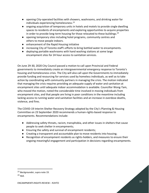- opening City-operated facilities with showers, washrooms, and drinking water for individuals experiencing homelessness.<sup>23</sup>
- ongoing acquisition of temporary units in hotels and motels to provide single dwelling spaces to residents of encampments and exploring opportunities to acquire properties in order to provide long-term housing for those relocated to these buildings. $^{24}$
- opening temporary sites including hotel programs, community centres and others to move people indoors.
- enhancement of the Rapid Housing initiative
- increasing City of Toronto staff's efforts to bring bottled water to encampments.
- deploying portable washrooms with hand washing stations at some large encampment sites for 24 hour access to sanitation services.

On June 29-30, 2020 City Council passed a motion to call upon Provincial and Federal governments to immediately create an intergovernmental emergency response to Toronto's housing and homelessness crisis. The City will also call upon the Governments to immediately provide funding and resourcing for services used by homeless individuals, as well as to take action by coordinating with community partners in managing the crisis. The motion indicated that managing the crisis requires providing an adequate supply of water and sanitation at encampment sites until adequate indoor accommodation is available. Councillor Wong-Tam, who moved the motion, noted the considerable time involved in moving individuals from encampment sites, and that people are living in poor conditions in the meantime including lacking access to running water and sanitation facilities and an increase in overdose deaths, violence, and fires.

The COVID-19 Interim Shelter Recovery Strategy adopted by the City's Planning & Housing Committee on 23 September 2020 recommends a human-rights-based response to encampments. Recommendations include:

- Addressing safety threats, racism, transphobia, and other issues in shelters that cause people to seek shelter in encampments;
- Ensuring the safety and survival of encampment residents;
- Creating a transparent and accountable plan to move residents into housing;
- Recognition of encampment residents as rights-holders, and measures to ensure their ongoing meaningful engagement and participation in decisions regarding encampments.

<sup>23</sup> *Backgrounder*, supra note 19.

 $24$  Ibid.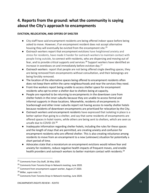## **4. Reports from the ground: what the community is saying about the City's approach to encampments**

### **EVICTION, RELOCATION, AND OFFERS OF SHELTER**

- City staff have said encampment residents are being offered indoor space before being asked to move. However, if an encampment resident does not accept alternative housing they will eventually be evicted from the encampment site.<sup>25</sup>
- Outreach workers report that encampment evictions have heightened anxiety and stress for residents, have made it harder for outreach workers to maintain contact with people living outside, to connect with residents, who are dispersing and moving out of fear, and to provide critical supports and services.<sup>26</sup> Support workers have identified an increase in overdoses on and immediately before eviction day.<sup>27</sup>
- Outreach workers report that people are not being offered single dwelling spaces, they are being removed from encampments without consultation, and their belongings are being forcibly removed.
- The location of the alternative spaces being offered to encampment residents often does not keep them within the same neighbourhoods and near the services they need.
- Front-line workers report being unable to access shelter space for encampment residents who opt to enter a shelter due to shelters being at capacity.
- People are reported to be returning to encampments in the downtown core from shelter hotels in the inner suburbs because they are unable to access formal and informal supports in those locations. Meanwhile, residents of encampments in Scarborough and other inner suburbs report not having access to nearby shelter hotels because residents of downtown encampments are prioritized for relocation by the City.
- Outreach workers and encampment residents have expressed that isolating in place is a better option than going to a shelter, and say that some residents of encampments are offered spaces in hotel rooms, while others are being sent to shelters, which are seen as unsafe due to COVID-19.<sup>28</sup>
- Inadequate information regarding shelter hotels, including the rules for these spaces and the length of stays that are permitted, are creating anxiety and confusion for encampment residents who are offered shelter. This is also creating reluctance among residents to move from an encampment to a new (unknown) situation for potentially a short period of time.
- Advocates state that a moratorium on encampment evictions would relieve fear and anxiety for residents, reduce negative health impacts of frequent moves, and enable health providers and outreach workers to better maintain contact with residents.<sup>29</sup>

<sup>&</sup>lt;sup>25</sup> Comments from City Staff, 26 May 2020.

<sup>&</sup>lt;sup>26</sup> Comments from Toronto Drop-In Network meeting, June 2020.

<sup>&</sup>lt;sup>27</sup> Comment from encampment support worker, August 27 2020.

<sup>28</sup> Miller, *supra* note 13.

<sup>&</sup>lt;sup>29</sup> Comments from Toronto Drop-In Network meeting, June 2020.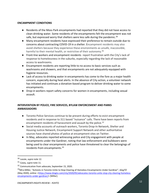#### **ENCAMPMENT CONDITIONS**

- Residents of the Moss Park encampments had reported that they did not have access to clean drinking water. Some residents of the encampments felt the encampment was not safe, but expressed worry that shelters were less safe during the pandemic.<sup>30</sup>
- Many encampment residents have expressed their preference to remain outside due to concerns about contracting COVID-19 in a shelter. Encampment residents may also avoid shelters because they experience these environments as unsafe, inaccessible, harmful to their mental health, or restrictive of their autonomy.<sup>31</sup>
- Front-line workers and encampment residents report frustration with the City's lack of response to homelessness in the suburbs, especially regarding the lack of reasonable access to washrooms.
- Encampment residents are reporting little to no access to basic services such as washrooms and showers, and that encampments are not adequately equipped with hygiene resources.
- Lack of access to drinking water in encampments has come to the fore as a major health concern, especially during heat alerts. In the absence of City action, a volunteer network has initiated and continues a donation-based program to deliver drinking water to some encampments.
- Drop-in workers report safety concerns for women in encampments, including sexual assault.

## **INTERVENTION BY POLICE, FIRE SERVICES, BYLAW ENFORCEMENT AND PARKS AMBASSADORS**

- Toronto Police Services continue to be present during efforts to evict encampment residents and in response to 311 based "nuisance" calls. There have been reports from encampment residents of harassment and assault by the police.<sup>32</sup>
- Social media accounts of outreach workers, Toronto Drop-In Network, Shelter and Housing Justice Network, Encampment Support Network and other authoritative sources have shared photos of police at encampment sites on Twitter.
- In May, advocates reported witnessing police and City engagement with people at encampments under the Gardiner, noting that law enforcement and bulldozers were being used to clear encampments and police have threatened to clear the belongings of residents from encampments.<sup>33</sup>

<sup>30</sup> Lavoie, *supra* note 12.

<sup>31</sup> Casey, *supra* note 11.

<sup>&</sup>lt;sup>32</sup> Communication from advocate, September 15, 2020.

<sup>33</sup>Mira Miller, "Activists in Toronto Unite to Stop Clearing of Homeless Encampments Under Gardiner", *blogTO* (May 2020), online: [<https://www.blogto.com/city/2020/05/advocates-toronto-unite-stop-city-clearing-homeless](https://www.blogto.com/city/2020/05/advocates-toronto-unite-stop-city-clearing-homeless-%20encampments-under-gardiner/)[encampments-under-gardiner/>](https://www.blogto.com/city/2020/05/advocates-toronto-unite-stop-city-clearing-homeless-%20encampments-under-gardiner/) [Miller].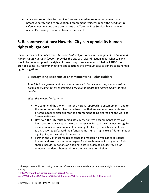● Advocates report that Toronto Fire Services is used more for enforcement than proactive safety and fire prevention. Encampment residents report the need for fire safety equipment and there are reports that Toronto Fires Services have removed resident's cooking equipment from encampments.

## **5. Recommendations: How the City can uphold its human rights obligations**

Leilani Farha and Kaitlin Schwan's *National Protocol for Homeless Encampments in Canada: A Human Rights Approach* (2020)<sup>34</sup> provides the City with clear direction about what can and should be done to uphold the rights of those living in encampments.<sup>35</sup> Below R2HTO has provided some key recommendations about actions the city must take to adhere to its human rights obligations.

## **1. Recognizing Residents of Encampments as Rights Holders**

*Principle 1: All government action with respect to homeless encampments must be guided by a commitment to upholding the human rights and human dignity of their residents.* 

- We commend the City on its inter-divisional approach to encampments, and to the important efforts it has made to ensure that encampment residents are offered indoor shelter prior to the encampment being cleared and the work of Streets to Homes.
- However, the City must immediately cease to treat encampments as by-law infractions or nuisances in the urban landscape. Instead the City must recognize encampments as enactments of human rights claims, in which residents are taking action to safeguard their fundamental human rights to self-determination, dignity, life, and security of the person.
- Further, the City must recognize tents and makeshift dwellings as residents' homes, and exercise the same respect for these homes as for any other. This should include limitations on opening, entering, damaging, destroying, or removing residents' homes without their express permission.

<sup>&</sup>lt;sup>34</sup> The report was published during Leilani Farha's tenure as UN Special Rapporteur on the Right to Adequate Housing

<sup>35</sup> [http://www.unhousingrapp.org/user/pages/07.press](http://www.unhousingrapp.org/user/pages/07.press-room/A%20National%20Protocol%20for%20Homeless%20Encampments%20in%20Canada.pdf)[room/A%20National%20Protocol%20for%20Homeless%20Encampments%20in%20Canada.pdf](http://www.unhousingrapp.org/user/pages/07.press-room/A%20National%20Protocol%20for%20Homeless%20Encampments%20in%20Canada.pdf)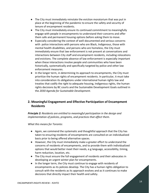- The City must immediately reinstate the eviction moratorium that was put in place at the beginning of the pandemic to ensure the safety and security of tenure of encampment residents.
- The City must immediately ensure its continued commitment to meaningfully engage with people in encampments to understand their concerns and offer them safe and permanent housing options before asking them to move.
- Especially considering the context of well-documented and serious concerns with police interactions with persons who are Black, Indigenous, those with mental health disabilities, and persons who are homeless, the City must immediately ensure that law enforcement is not present at conversations and interactions between City staff and encampment residents, including relocations and evictions. The complete absence of law enforcement is especially important when these interactions involve people and communities who have been historically, systematically and specifically targeted by police and other law enforcement measures.
- In the longer term, in determining its approach to encampments, the City must prioritize the human rights of encampment residents. In particular, it must take into consideration its obligations under international human rights law and treaties that codify the right to adequate housing, Indigenous rights, the human rights decisions by BC courts and the Sustainable Development Goals outlined in the *2030 Agenda for Sustainable Development*.

## **2. Meaningful Engagement and Effective Participation of Encampment Residents**

*Principle 2: Residents are entitled to meaningful participation in the design and implementation of policies, programs, and practices that affect them.* 

- Again, we commend the systematic and thoughtful approach that the City has taken to ensuring residents of encampments are consulted on an individualized basis prior to being offered alternative spaces.
- However, the City must immediately make a greater effort to understand the concerns of residents of encampments, and to provide them with individualized options that would better meet their needs, e.g language, accessibility, timing, harm reduction, location, etc.
- The City must ensure the full engagement of residents and their advocates in developing an urgent winter plan for encampments.
- In the longer term, the City must continue to engage with residents of encampments as its policies develop. The City has a human rights obligation to consult with the residents as its approach evolves and as it continues to make decisions that directly impact their health and safety.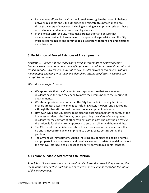- Engagement efforts by the City should seek to recognize the power imbalance between residents and City authorities and mitigate this power imbalance through a variety of measures, including ensuring encampment residents have access to independent advocates and legal advice.
- In the longer term, the City must make greater efforts to ensure that encampment residents have access to independent legal advice, and the City must better recognize and continue to collaborate with front-line organizations and advocates.

## **3. Prohibition of Forced Evictions of Encampments**

*Principle 3: Human rights law does not permit governments to destroy peoples' homes, even if those homes are made of improvised materials and established without legal authority. Governments may not remove residents from encampments without meaningfully engaging with them and identifying alternative places to live that are acceptable to them.* 

*What this means for Toronto:*

- We appreciate that the City has taken steps to ensure that encampment residents have the time they need to move their items prior to the clearing of encampments.
- We also appreciate the efforts that the City has made in opening facilities to provide greater access to amenities including water, showers, and bathrooms, although this has still not met the needs of encampment residents.
- However, while the City claims to be clearing encampments for the safety of the homeless residents, the City may be jeopardizing the safety of encampment residents for the comfort of other residents of the City. The City should review the rationale for their current approach to ensure it aligns with human rights.
- The City should immediately reinstate its eviction moratorium and ensure that no one is moved from an encampment to a congregate setting during the pandemic.
- The City should immediately suspend inflicting any damage to people's homes and property in encampments, and provide clear and consistent guidelines about the removal, storage, and disposal of property only with residents' consent.

## **4. Explore All Viable Alternatives to Eviction**

*Principle 4: Governments must explore all viable alternatives to eviction, ensuring the meaningful and effective participation of residents in discussions regarding the future of the encampment.*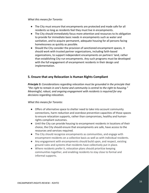*What this means for Toronto:*

- The City must ensure that encampments are protected and made safe for all residents so long as residents feel they must live in encampments.
- The City should immediately focus more attention and resources to its obligation to provide for immediate basic needs in encampments such as water and sanitation, and to acquire permanent, adequate housing for all persons facing homelessness as quickly as possible.
- Should the City consider the provision of sanctioned encampment spaces, it should work with trusted partner organizations, including faith-based organizations, to support independent encampments on partners' land, rather than establishing City-run encampments. Any such programs must be developed with the full engagement of encampment residents in their design and implementation.

## **5. Ensure that any Relocation is Human Rights Compliant**

*Principle 5: Considerations regarding relocation must be grounded in the principle that "the right to remain in one's home and community is central to the right to housing." Meaningful, robust, and ongoing engagement with residents is required for any decisions regarding relocation.* 

- Offers of alternative space to shelter need to take into account community connections, harm reduction and overdose prevention capacities of those spaces to ensure relocation supports, rather than compromises, healthy and humanrights compliant outcomes.
- Until the City can provide housing to encampment residents in locations of their choice, the City should ensure that encampments are safe, have access to the resources and services required.
- The City should recognize encampments as communities, and engage with encampment residents on a collective basis as well as with individual residents.
- Any engagement with encampments should build upon, and respect, existing ground rules and systems that residents have collectively put in place.
- Where residents prefer it, relocation plans should prioritize keeping communities together, and enabling residents to stay close to formal and informal supports.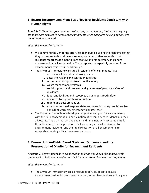## **6. Ensure Encampments Meet Basic Needs of Residents Consistent with Human Rights**

*Principle 6: Canadian governments must ensure, at a minimum, that basic adequacy standards are ensured in homeless encampments while adequate housing options are negotiated and secured.* 

#### *What this means for Toronto:*

- We commend the City for its efforts to open public buildings to residents so that they can access toilets, showers, running water and other amenities, but residents report these amenities are too few and far between, and/or are underserved or lacking in quality. These reports are especially common from encampments residents in Scarborough.
- The City must immediately ensure all residents of encampments have:
	- i. access to safe and clean drinking water
	- ii. access to hygiene and sanitation facilities
	- iii. resources and support to ensure fire safety
	- iv. waste management systems
	- v. social supports and services, and guarantee of personal safety of residents
	- vi. food, and facilities and resources that support food safety
	- vii. resources to support harm reduction
	- viii. rodent and pest prevention
	- ix. access to seasonally-appropriate resources, including provisions like hand/foot warmers, emergency blankets, etc."
- The City must immediately develop an urgent winter plan for encampments, with the full engagement and participation of encampment residents and their advocates. This plan must include goals and timelines, with accountability for those timelines, for the provision of all necessary survival equipment to encampment residents, and the rapid relocation of all encampments to acceptable housing with all necessary supports.

## **7. Ensure Human-Rights Based Goals and Outcomes, and the Preservation of Dignity for Encampment Residents**

*Principle 7: Governments have an obligation to bring about positive human rights outcomes in all of their activities and decisions concerning homeless encampments.* 

*What this means for Toronto:*

● The City must immediately use all resources at its disposal to ensure encampment residents' basic needs are met, access to amenities and hygiene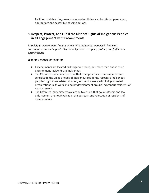facilities, and that they are not removed until they can be offered permanent, appropriate and accessible housing options.

## **8. Respect, Protect, and Fulfill the Distinct Rights of Indigenous Peoples in all Engagement with Encampments**

*Principle 8: Governments' engagement with Indigenous Peoples in homeless encampments must be guided by the obligation to respect, protect, and fulfill their distinct rights.* 

- Encampments are located on Indigenous lands, and more than one in three encampment residents are Indigenous.
- The City must immediately ensure that its approaches to encampments are sensitive to the unique needs of Indigenous residents, recognize Indigenous peoples' right to self-determination, and work closely with Indigenous-led organizations in its work and policy development around Indigenous residents of encampments.
- The City must immediately take action to ensure that police officers and law enforcement are not involved in the outreach and relocation of residents of encampments.